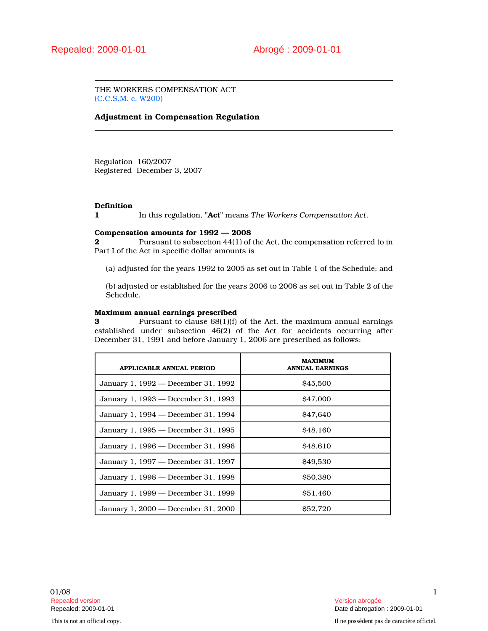THE WORKERS COMPENSATION ACT (C.C.S.M. c. W200)

## Adjustment in Compensation Regulation

Regulation 160/2007 Registered December 3, 2007

## **Definition**

1 In this regulation, "Act" means The Workers Compensation Act.

### Compensation amounts for 1992 — 2008

2 **2** Pursuant to subsection 44(1) of the Act, the compensation referred to in Part I of the Act in specific dollar amounts is

(a) adjusted for the years 1992 to 2005 as set out in Table 1 of the Schedule; and

(b) adjusted or established for the years 2006 to 2008 as set out in Table 2 of the Schedule.

#### Maximum annual earnings prescribed

3 Pursuant to clause 68(1)(f) of the Act, the maximum annual earnings established under subsection 46(2) of the Act for accidents occurring after December 31, 1991 and before January 1, 2006 are prescribed as follows:

| <b>APPLICABLE ANNUAL PERIOD</b>     | <b>MAXIMUM</b><br><b>ANNUAL EARNINGS</b> |
|-------------------------------------|------------------------------------------|
| January 1, 1992 — December 31, 1992 | \$45,500                                 |
| January 1, 1993 — December 31, 1993 | <b>S47,000</b>                           |
| January 1, 1994 — December 31, 1994 | <b>S47.640</b>                           |
| January 1, 1995 — December 31, 1995 | <b>S<sub>48</sub></b> .160               |
| January 1, 1996 — December 31, 1996 | \$48.610                                 |
| January 1, 1997 — December 31, 1997 | \$49,530                                 |
| January 1, 1998 — December 31, 1998 | \$50,380                                 |
| January 1, 1999 — December 31, 1999 | <b>S51.460</b>                           |
| January 1, 2000 – December 31, 2000 | <b>S52.720</b>                           |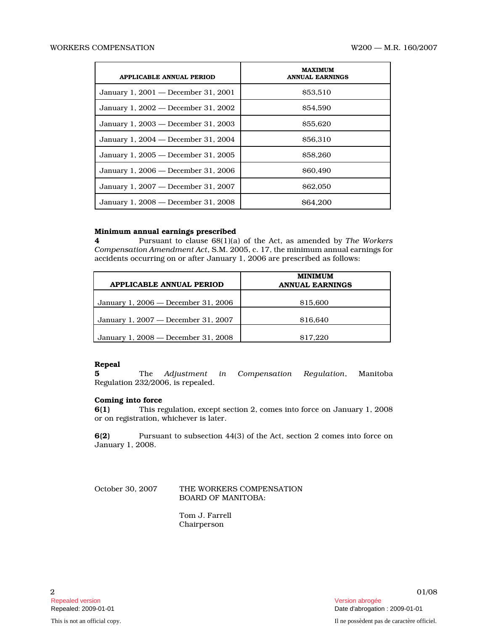| APPLICABLE ANNUAL PERIOD            | <b>MAXIMUM</b><br><b>ANNUAL EARNINGS</b> |
|-------------------------------------|------------------------------------------|
| January 1, 2001 — December 31, 2001 | \$53,510                                 |
| January 1, 2002 — December 31, 2002 | \$54.590                                 |
| January 1, 2003 — December 31, 2003 | \$55,620                                 |
| January 1, 2004 — December 31, 2004 | \$56,310                                 |
| January 1, 2005 — December 31, 2005 | <b>S58.260</b>                           |
| January 1, 2006 — December 31, 2006 | \$60,490                                 |
| January 1, 2007 — December 31, 2007 | \$62,050                                 |
| January 1, 2008 — December 31, 2008 | <b>S64.200</b>                           |

## Minimum annual earnings prescribed

4 Pursuant to clause 68(1)(a) of the Act, as amended by The Workers Compensation Amendment Act, S.M. 2005, c. 17, the minimum annual earnings for accidents occurring on or after January 1, 2006 are prescribed as follows:

| APPLICABLE ANNUAL PERIOD            | <b>MINIMUM</b><br><b>ANNUAL EARNINGS</b> |
|-------------------------------------|------------------------------------------|
| January 1, 2006 — December 31, 2006 | \$15,600                                 |
| January 1, 2007 — December 31, 2007 | \$16,640                                 |
| January 1, 2008 — December 31, 2008 | \$17.220                                 |

# Repeal

5 The Adjustment in Compensation Regulation, Manitoba Regulation 232/2006, is repealed.

### Coming into force

6(1) This regulation, except section 2, comes into force on January 1, 2008 or on registration, whichever is later.

6(2) Pursuant to subsection 44(3) of the Act, section 2 comes into force on January 1, 2008.

October 30, 2007 THE WORKERS COMPENSATION BOARD OF MANITOBA:

> Tom J. Farrell Chairperson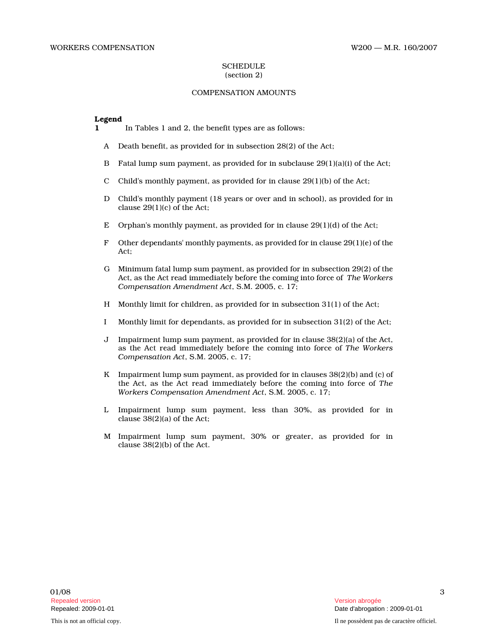### **SCHEDULE** (section 2)

## COMPENSATION AMOUNTS

#### Legend

- 1 In Tables 1 and 2, the benefit types are as follows:
	- A Death benefit, as provided for in subsection 28(2) of the Act;
	- B Fatal lump sum payment, as provided for in subclause  $29(1)(a)(i)$  of the Act;
	- C Child's monthly payment, as provided for in clause  $29(1)(b)$  of the Act;
	- D Child's monthly payment (18 years or over and in school), as provided for in clause 29(1)(c) of the Act;
	- E Orphan's monthly payment, as provided for in clause  $29(1)(d)$  of the Act;
	- F Other dependants' monthly payments, as provided for in clause  $29(1)(e)$  of the Act;
	- G Minimum fatal lump sum payment, as provided for in subsection 29(2) of the Act, as the Act read immediately before the coming into force of The Workers Compensation Amendment Act, S.M. 2005, c. 17;
	- H Monthly limit for children, as provided for in subsection 31(1) of the Act;
	- I Monthly limit for dependants, as provided for in subsection 31(2) of the Act;
	- J Impairment lump sum payment, as provided for in clause 38(2)(a) of the Act, as the Act read immediately before the coming into force of The Workers Compensation Act, S.M. 2005, c. 17;
	- K Impairment lump sum payment, as provided for in clauses 38(2)(b) and (c) of the Act, as the Act read immediately before the coming into force of The Workers Compensation Amendment Act, S.M. 2005, c. 17;
	- L Impairment lump sum payment, less than 30%, as provided for in clause 38(2)(a) of the Act;
	- M Impairment lump sum payment, 30% or greater, as provided for in clause 38(2)(b) of the Act.

3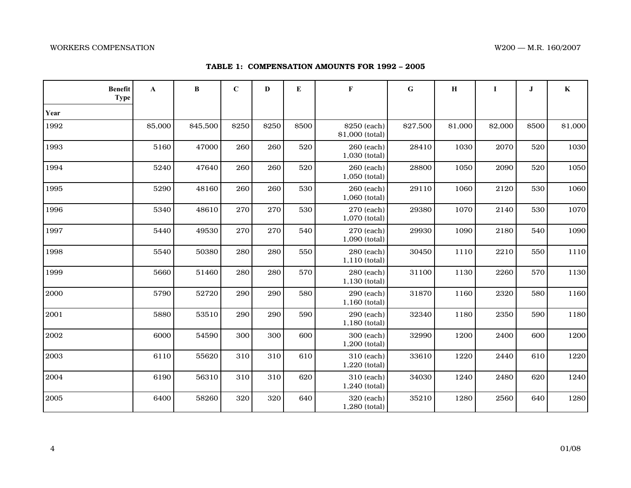## WORKERS COMPENSATION WAS COMPENSATION WAS COMPENSATION WAS COMPENSATION WAS COMPRESSED FOR A LISO AND MULTIMETRIZION

| TABLE 1: COMPENSATION AMOUNTS FOR 1992 - 2005 |  |  |  |  |
|-----------------------------------------------|--|--|--|--|
|-----------------------------------------------|--|--|--|--|

| <b>Benefit</b><br><b>Type</b> | A       | B        | $\mathbf C$ | $\mathbf{D}$ | E     | $\mathbf{F}$                    | G        | $\bf H$ | $\bf{I}$ | $\bf J$ | $\bf K$ |
|-------------------------------|---------|----------|-------------|--------------|-------|---------------------------------|----------|---------|----------|---------|---------|
| Year                          |         |          |             |              |       |                                 |          |         |          |         |         |
| 1992                          | \$5,000 | \$45,500 | \$250       | \$250        | \$500 | \$250 (each)<br>\$1,000 (total) | \$27,500 | \$1,000 | \$2,000  | \$500   | \$1,000 |
| 1993                          | 5160    | 47000    | 260         | 260          | 520   | 260 (each)<br>1,030 (total)     | 28410    | 1030    | 2070     | 520     | 1030    |
| 1994                          | 5240    | 47640    | 260         | 260          | 520   | 260 (each)<br>1,050 (total)     | 28800    | 1050    | 2090     | 520     | 1050    |
| 1995                          | 5290    | 48160    | 260         | 260          | 530   | 260 (each)<br>1,060 (total)     | 29110    | 1060    | 2120     | 530     | 1060    |
| 1996                          | 5340    | 48610    | 270         | 270          | 530   | 270 (each)<br>1,070 (total)     | 29380    | 1070    | 2140     | 530     | 1070    |
| 1997                          | 5440    | 49530    | 270         | 270          | 540   | 270 (each)<br>1,090 (total)     | 29930    | 1090    | 2180     | 540     | 1090    |
| 1998                          | 5540    | 50380    | 280         | 280          | 550   | 280 (each)<br>1,110 (total)     | 30450    | 1110    | 2210     | 550     | 1110    |
| 1999                          | 5660    | 51460    | 280         | 280          | 570   | 280 (each)<br>1,130 (total)     | 31100    | 1130    | 2260     | 570     | 1130    |
| 2000                          | 5790    | 52720    | 290         | 290          | 580   | 290 (each)<br>1,160 (total)     | 31870    | 1160    | 2320     | 580     | 1160    |
| 2001                          | 5880    | 53510    | 290         | 290          | 590   | 290 (each)<br>1,180 (total)     | 32340    | 1180    | 2350     | 590     | 1180    |
| 2002                          | 6000    | 54590    | 300         | 300          | 600   | 300 (each)<br>1,200 (total)     | 32990    | 1200    | 2400     | 600     | 1200    |
| 2003                          | 6110    | 55620    | 310         | 310          | 610   | 310 (each)<br>1,220 (total)     | 33610    | 1220    | 2440     | 610     | 1220    |
| 2004                          | 6190    | 56310    | 310         | 310          | 620   | 310 (each)<br>1,240 (total)     | 34030    | 1240    | 2480     | 620     | 1240    |
| 2005                          | 6400    | 58260    | 320         | 320          | 640   | 320 (each)<br>1,280 (total)     | 35210    | 1280    | 2560     | 640     | 1280    |